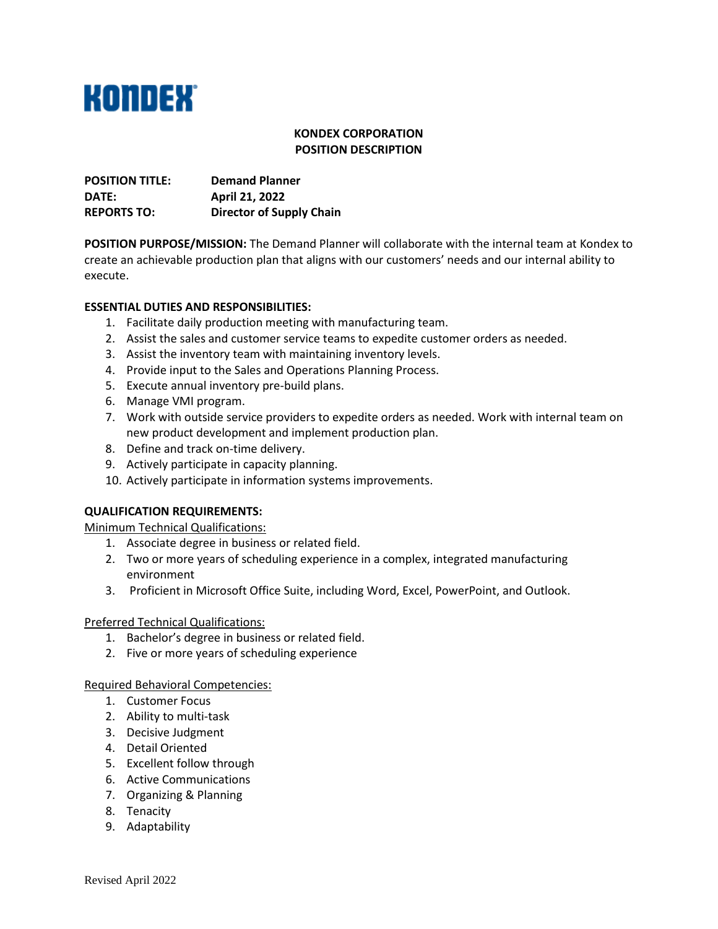

# **KONDEX CORPORATION POSITION DESCRIPTION**

| <b>POSITION TITLE:</b> | <b>Demand Planner</b>           |
|------------------------|---------------------------------|
| <b>DATE:</b>           | April 21, 2022                  |
| <b>REPORTS TO:</b>     | <b>Director of Supply Chain</b> |

**POSITION PURPOSE/MISSION:** The Demand Planner will collaborate with the internal team at Kondex to create an achievable production plan that aligns with our customers' needs and our internal ability to execute.

## **ESSENTIAL DUTIES AND RESPONSIBILITIES:**

- 1. Facilitate daily production meeting with manufacturing team.
- 2. Assist the sales and customer service teams to expedite customer orders as needed.
- 3. Assist the inventory team with maintaining inventory levels.
- 4. Provide input to the Sales and Operations Planning Process.
- 5. Execute annual inventory pre-build plans.
- 6. Manage VMI program.
- 7. Work with outside service providers to expedite orders as needed. Work with internal team on new product development and implement production plan.
- 8. Define and track on-time delivery.
- 9. Actively participate in capacity planning.
- 10. Actively participate in information systems improvements.

#### **QUALIFICATION REQUIREMENTS:**

Minimum Technical Qualifications:

- 1. Associate degree in business or related field.
- 2. Two or more years of scheduling experience in a complex, integrated manufacturing environment
- 3. Proficient in Microsoft Office Suite, including Word, Excel, PowerPoint, and Outlook.

#### Preferred Technical Qualifications:

- 1. Bachelor's degree in business or related field.
- 2. Five or more years of scheduling experience

#### Required Behavioral Competencies:

- 1. Customer Focus
- 2. Ability to multi-task
- 3. Decisive Judgment
- 4. Detail Oriented
- 5. Excellent follow through
- 6. Active Communications
- 7. Organizing & Planning
- 8. Tenacity
- 9. Adaptability